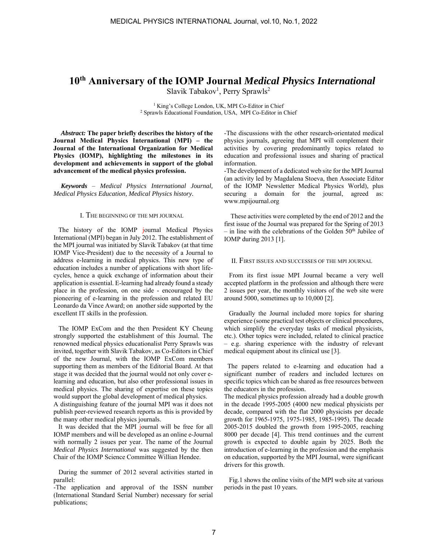# **10th Anniversary of the IOMP Journal** *Medical Physics International*

Slavik Tabakov<sup>1</sup>, Perry Sprawls<sup>2</sup>

<sup>1</sup> King's College London, UK, MPI Co-Editor in Chief<br><sup>2</sup> Sprawls Educational Foundation USA MPI Co-Editor in 0 <sup>2</sup> Sprawls Educational Foundation, USA, MPI Co-Editor in Chief

*Abstract:* **The paper briefly describes the history of the Journal Medical Physics International (MPI) – the Journal of the International Organization for Medical Physics (IOMP), highlighting the milestones in its development and achievements in support of the global advancement of the medical physics profession.** 

*Keywords* – *Medical Physics International Journal, Medical Physics Education, Medical Physics history.*

# I. THE BEGINNING OF THE MPI JOURNAL

 The history of the IOMP journal Medical Physics International (MPI) began in July 2012. The establishment of the MPI journal was initiated by Slavik Tabakov (at that time IOMP Vice-President) due to the necessity of a Journal to address e-learning in medical physics. This new type of education includes a number of applications with short lifecycles, hence a quick exchange of information about their application is essential. E-learning had already found a steady place in the profession, on one side - encouraged by the pioneering of e-learning in the profession and related EU Leonardo da Vince Award; on another side supported by the excellent IT skills in the profession.

 The IOMP ExCom and the then President KY Cheung strongly supported the establishment of this Journal. The renowned medical physics educationalist Perry Sprawls was invited, together with Slavik Tabakov, as Co-Editors in Chief of the new Journal, with the IOMP ExCom members supporting them as members of the Editorial Board. At that stage it was decided that the journal would not only cover elearning and education, but also other professional issues in medical physics. The sharing of expertise on these topics would support the global development of medical physics.

A distinguishing feature of the journal MPI was it does not publish peer-reviewed research reports as this is provided by the many other medical physics journals.

 It was decided that the MPI journal will be free for all IOMP members and will be developed as an online e-Journal with normally 2 issues per year. The name of the Journal *Medical Physics International* was suggested by the then Chair of the IOMP Science Committee Willian Hendee.

 During the summer of 2012 several activities started in parallel:

-The application and approval of the ISSN number (International Standard Serial Number) necessary for serial publications;

-The discussions with the other research-orientated medical physics journals, agreeing that MPI will complement their activities by covering predominantly topics related to education and professional issues and sharing of practical information.

-The development of a dedicated web site for the MPI Journal (an activity led by Magdalena Stoeva, then Associate Editor of the IOMP Newsletter Medical Physics World), plus securing a domain for the journal, agreed as: www.mpijournal.org

 These activities were completed by the end of 2012 and the first issue of the Journal was prepared for the Spring of 2013  $-$  in line with the celebrations of the Golden  $50<sup>th</sup>$  Jubilee of IOMP during 2013 [1].

# II. FIRST ISSUES AND SUCCESSES OF THE MPI JOURNAL

 From its first issue MPI Journal became a very well accepted platform in the profession and although there were 2 issues per year, the monthly visitors of the web site were around 5000, sometimes up to 10,000 [2].

 Gradually the Journal included more topics for sharing experience (some practical test objects or clinical procedures, which simplify the everyday tasks of medical physicists, etc.). Other topics were included, related to clinical practice – e.g. sharing experience with the industry of relevant medical equipment about its clinical use [3].

 The papers related to e-learning and education had a significant number of readers and included lectures on specific topics which can be shared as free resources between the educators in the profession.

The medical physics profession already had a double growth in the decade 1995-2005 (4000 new medical physicists per decade, compared with the flat 2000 physicists per decade growth for 1965-1975, 1975-1985, 1985-1995). The decade 2005-2015 doubled the growth from 1995-2005, reaching 8000 per decade [4]. This trend continues and the current growth is expected to double again by 2025. Both the introduction of e-learning in the profession and the emphasis on education, supported by the MPI Journal, were significant drivers for this growth.

 Fig.1 shows the online visits of the MPI web site at various periods in the past 10 years.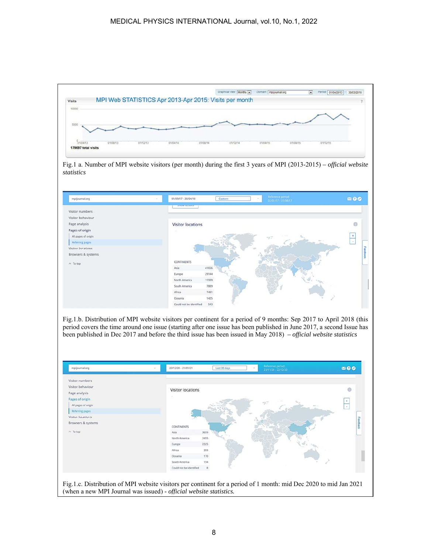

Fig.1 a. Number of MPI website visitors (per month) during the first 3 years of MPI (2013-2015) *– official website statistics* 



Fig.1.b. Distribution of MPI website visitors per continent for a period of 9 months: Sep 2017 to April 2018 (this period covers the time around one issue (starting after one issue has been published in June 2017, a second Issue has been published in Dec 2017 and before the third issue has been issued in May 2018) *– official website statistics* 

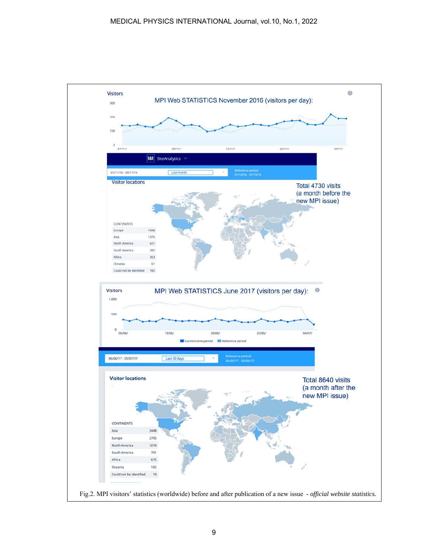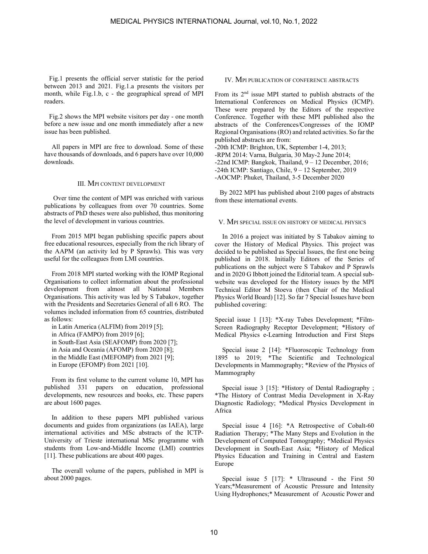Fig.1 presents the official server statistic for the period between 2013 and 2021. Fig.1.a presents the visitors per month, while Fig.1.b, c - the geographical spread of MPI readers.

 Fig.2 shows the MPI website visitors per day - one month before a new issue and one month immediately after a new issue has been published.

All papers in MPI are free to download. Some of these have thousands of downloads, and 6 papers have over 10,000 downloads.

### III. MPI CONTENT DEVELOPMENT

 Over time the content of MPI was enriched with various publications by colleagues from over 70 countries. Some abstracts of PhD theses were also published, thus monitoring the level of development in various countries.

From 2015 MPI began publishing specific papers about free educational resources, especially from the rich library of the AAPM (an activity led by P Sprawls). This was very useful for the colleagues from LMI countries.

From 2018 MPI started working with the IOMP Regional Organisations to collect information about the professional development from almost all National Members Organisations. This activity was led by S Tabakov, together with the Presidents and Secretaries General of all 6 RO. The volumes included information from 65 countries, distributed as follows:

in Latin America (ALFIM) from 2019 [5]; in Africa (FAMPO) from 2019 [6]; in South-East Asia (SEAFOMP) from 2020 [7]; in Asia and Oceania (AFOMP) from 2020 [8]; in the Middle East (MEFOMP) from 2021 [9]; in Europe (EFOMP) from 2021 [10].

From its first volume to the current volume 10, MPI has published 331 papers on education, professional developments, new resources and books, etc. These papers are about 1600 pages.

In addition to these papers MPI published various documents and guides from organizations (as IAEA), large international activities and MSc abstracts of the ICTP-University of Trieste international MSc programme with students from Low-and-Middle Income (LMI) countries [11]. These publications are about 400 pages.

The overall volume of the papers, published in MPI is about 2000 pages.

### IV. MPI PUBLICATION OF CONFERENCE ABSTRACTS

From its 2nd issue MPI started to publish abstracts of the International Conferences on Medical Physics (ICMP). These were prepared by the Editors of the respective Conference. Together with these MPI published also the abstracts of the Conferences/Congresses of the IOMP Regional Organisations (RO) and related activities. So far the published abstracts are from:

-20th ICMP: Brighton, UK, September 1-4, 2013;

-RPM 2014: Varna, Bulgaria, 30 May-2 June 2014;

-22nd ICMP: Bangkok, Thailand, 9 – 12 December, 2016;

-24th ICMP: Santiago, Chile, 9 – 12 September, 2019

-AOCMP: Phuket, Thailand, 3-5 December 2020

 By 2022 MPI has published about 2100 pages of abstracts from these international events.

#### V. MPI SPECIAL ISSUE ON HISTORY OF MEDICAL PHYSICS

In 2016 a project was initiated by S Tabakov aiming to cover the History of Medical Physics. This project was decided to be published as Special Issues, the first one being published in 2018. Initially Editors of the Series of publications on the subject were S Tabakov and P Sprawls and in 2020 G Ibbott joined the Editorial team. A special subwebsite was developed for the History issues by the MPI Technical Editor M Stoeva (then Chair of the Medical Physics World Board) [12]. So far 7 Special Issues have been published covering:

Special issue 1 [13]: \*X-ray Tubes Development; \*Film-Screen Radiography Receptor Development; \*History of Medical Physics e-Learning Introduction and First Steps

Special issue 2 [14]: \*Fluoroscopic Technology from 1895 to 2019; \*The Scientific and Technological Developments in Mammography; \*Review of the Physics of Mammography

Special issue 3 [15]: \*History of Dental Radiography ; \*The History of Contrast Media Development in X-Ray Diagnostic Radiology; \*Medical Physics Development in Africa

Special issue 4 [16]: \*A Retrospective of Cobalt-60 Radiation Therapy; \*The Many Steps and Evolution in the Development of Computed Tomography; \*Medical Physics Development in South-East Asia; \*History of Medical Physics Education and Training in Central and Eastern Europe

Special issue 5 [17]: \* Ultrasound - the First 50 Years;\*Measurement of Acoustic Pressure and Intensity Using Hydrophones;\* Measurement of Acoustic Power and